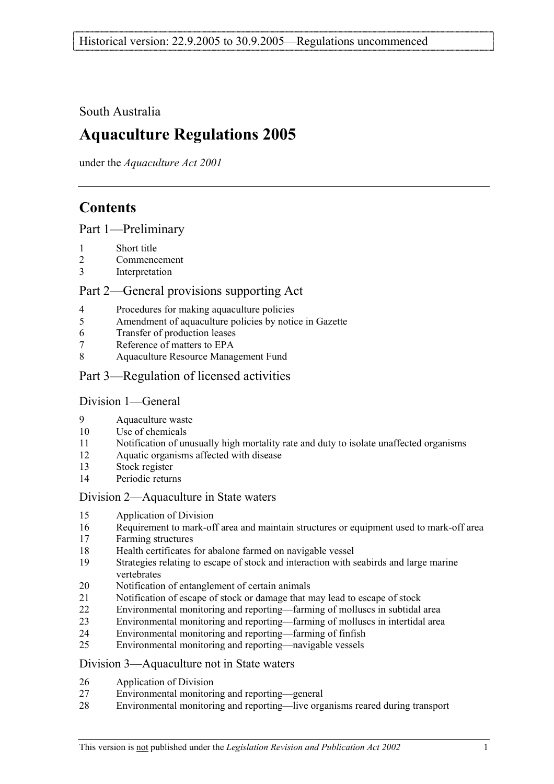## South Australia

# **Aquaculture Regulations 2005**

under the *Aquaculture Act 2001*

# **Contents**

Part 1—Preliminary

- 1 Short title
- 2 Commencement
- 3 Interpretation

## Part 2—General provisions supporting Act

- 4 Procedures for making aquaculture policies
- 5 Amendment of aquaculture policies by notice in Gazette
- 6 Transfer of production leases
- 7 Reference of matters to EPA
- 8 Aquaculture Resource Management Fund
- Part 3—Regulation of licensed activities

## Division 1—General

- 9 Aquaculture waste
- 10 Use of chemicals
- 11 Notification of unusually high mortality rate and duty to isolate unaffected organisms
- 12 Aquatic organisms affected with disease
- 13 Stock register
- 14 Periodic returns

## Division 2—Aquaculture in State waters

- 15 Application of Division
- 16 Requirement to mark-off area and maintain structures or equipment used to mark-off area
- 17 Farming structures
- 18 Health certificates for abalone farmed on navigable vessel
- 19 Strategies relating to escape of stock and interaction with seabirds and large marine vertebrates
- 20 Notification of entanglement of certain animals
- 21 Notification of escape of stock or damage that may lead to escape of stock
- 22 Environmental monitoring and reporting—farming of molluscs in subtidal area
- 23 Environmental monitoring and reporting—farming of molluscs in intertidal area
- 24 Environmental monitoring and reporting—farming of finfish
- 25 Environmental monitoring and reporting—navigable vessels

## Division 3—Aquaculture not in State waters

- 26 Application of Division
- 27 Environmental monitoring and reporting—general
- 28 Environmental monitoring and reporting—live organisms reared during transport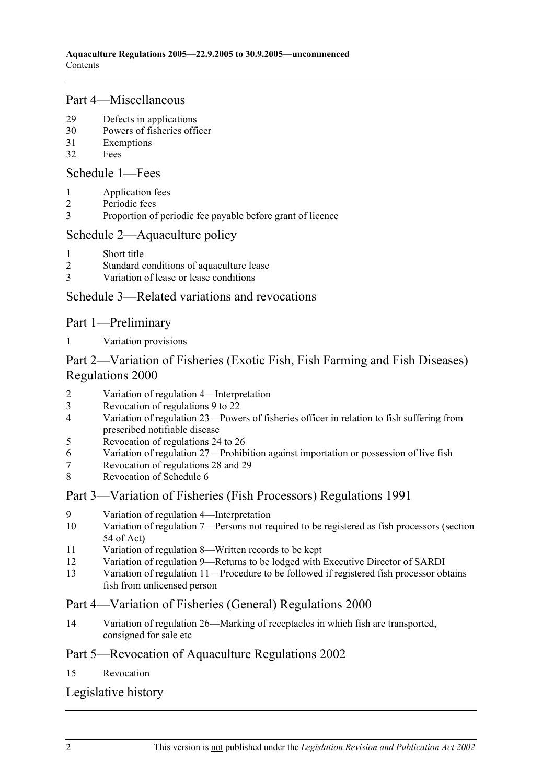## Part 4—Miscellaneous

- 29 Defects in applications
- 30 Powers of fisheries officer
- 31 Exemptions
- 32 Fees

Schedule 1—Fees

- 1 Application fees
- 2 Periodic fees
- 3 Proportion of periodic fee payable before grant of licence

## Schedule 2—Aquaculture policy

- 1 Short title
- 2 Standard conditions of aquaculture lease
- 3 Variation of lease or lease conditions

## Schedule 3—Related variations and revocations

## Part 1—Preliminary

1 Variation provisions

## Part 2—Variation of Fisheries (Exotic Fish, Fish Farming and Fish Diseases) Regulations 2000

- 2 Variation of regulation 4—Interpretation
- 3 Revocation of regulations 9 to 22
- 4 Variation of regulation 23—Powers of fisheries officer in relation to fish suffering from prescribed notifiable disease
- 5 Revocation of regulations 24 to 26
- 6 Variation of regulation 27—Prohibition against importation or possession of live fish
- 7 Revocation of regulations 28 and 29
- 8 Revocation of Schedule 6

## Part 3—Variation of Fisheries (Fish Processors) Regulations 1991

- 9 Variation of regulation 4—Interpretation
- 10 Variation of regulation 7—Persons not required to be registered as fish processors (section 54 of Act)
- 11 Variation of regulation 8—Written records to be kept
- 12 Variation of regulation 9—Returns to be lodged with Executive Director of SARDI
- 13 Variation of regulation 11—Procedure to be followed if registered fish processor obtains fish from unlicensed person

## Part 4—Variation of Fisheries (General) Regulations 2000

14 Variation of regulation 26—Marking of receptacles in which fish are transported, consigned for sale etc

## Part 5—Revocation of Aquaculture Regulations 2002

## 15 Revocation

## Legislative history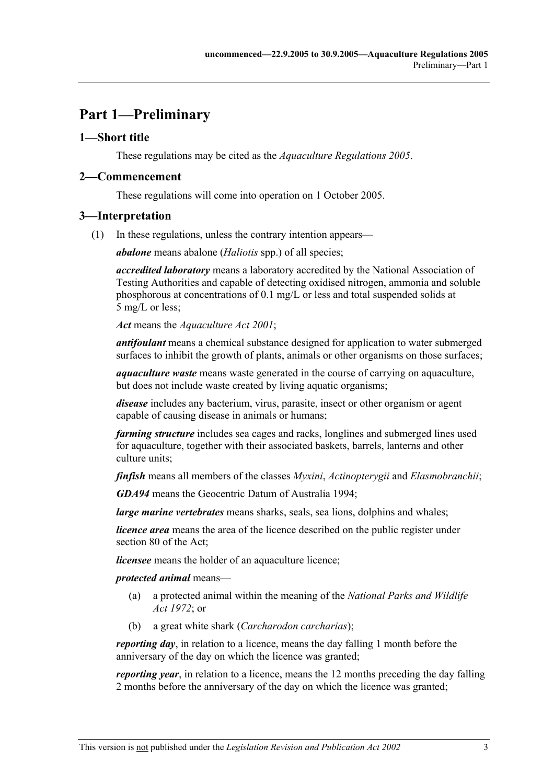# **Part 1—Preliminary**

## **1—Short title**

These regulations may be cited as the *Aquaculture Regulations 2005*.

## **2—Commencement**

These regulations will come into operation on 1 October 2005.

## **3—Interpretation**

(1) In these regulations, unless the contrary intention appears—

*abalone* means abalone (*Haliotis* spp.) of all species;

*accredited laboratory* means a laboratory accredited by the National Association of Testing Authorities and capable of detecting oxidised nitrogen, ammonia and soluble phosphorous at concentrations of 0.1 mg/L or less and total suspended solids at 5 mg/L or less;

*Act* means the *Aquaculture Act 2001*;

*antifoulant* means a chemical substance designed for application to water submerged surfaces to inhibit the growth of plants, animals or other organisms on those surfaces;

*aquaculture waste* means waste generated in the course of carrying on aquaculture, but does not include waste created by living aquatic organisms;

*disease* includes any bacterium, virus, parasite, insect or other organism or agent capable of causing disease in animals or humans;

*farming structure* includes sea cages and racks, longlines and submerged lines used for aquaculture, together with their associated baskets, barrels, lanterns and other culture units:

*finfish* means all members of the classes *Myxini*, *Actinopterygii* and *Elasmobranchii*;

*GDA94* means the Geocentric Datum of Australia 1994;

*large marine vertebrates* means sharks, seals, sea lions, dolphins and whales;

*licence area* means the area of the licence described on the public register under section 80 of the Act;

*licensee* means the holder of an aquaculture licence;

*protected animal* means—

- (a) a protected animal within the meaning of the *National Parks and Wildlife Act 1972*; or
- (b) a great white shark (*Carcharodon carcharias*);

*reporting day*, in relation to a licence, means the day falling 1 month before the anniversary of the day on which the licence was granted;

*reporting year*, in relation to a licence, means the 12 months preceding the day falling 2 months before the anniversary of the day on which the licence was granted;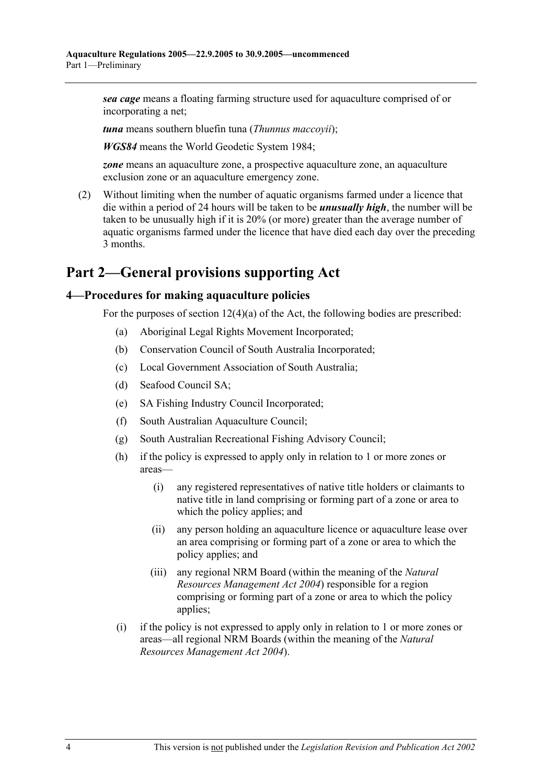*sea cage* means a floating farming structure used for aquaculture comprised of or incorporating a net;

*tuna* means southern bluefin tuna (*Thunnus maccoyii*);

*WGS84* means the World Geodetic System 1984;

*zone* means an aquaculture zone, a prospective aquaculture zone, an aquaculture exclusion zone or an aquaculture emergency zone.

 (2) Without limiting when the number of aquatic organisms farmed under a licence that die within a period of 24 hours will be taken to be *unusually high*, the number will be taken to be unusually high if it is 20% (or more) greater than the average number of aquatic organisms farmed under the licence that have died each day over the preceding 3 months.

## **Part 2—General provisions supporting Act**

## **4—Procedures for making aquaculture policies**

For the purposes of section  $12(4)(a)$  of the Act, the following bodies are prescribed:

- (a) Aboriginal Legal Rights Movement Incorporated;
- (b) Conservation Council of South Australia Incorporated;
- (c) Local Government Association of South Australia;
- (d) Seafood Council SA;
- (e) SA Fishing Industry Council Incorporated;
- (f) South Australian Aquaculture Council;
- (g) South Australian Recreational Fishing Advisory Council;
- (h) if the policy is expressed to apply only in relation to 1 or more zones or areas—
	- (i) any registered representatives of native title holders or claimants to native title in land comprising or forming part of a zone or area to which the policy applies; and
	- (ii) any person holding an aquaculture licence or aquaculture lease over an area comprising or forming part of a zone or area to which the policy applies; and
	- (iii) any regional NRM Board (within the meaning of the *Natural Resources Management Act 2004*) responsible for a region comprising or forming part of a zone or area to which the policy applies;
- (i) if the policy is not expressed to apply only in relation to 1 or more zones or areas—all regional NRM Boards (within the meaning of the *Natural Resources Management Act 2004*).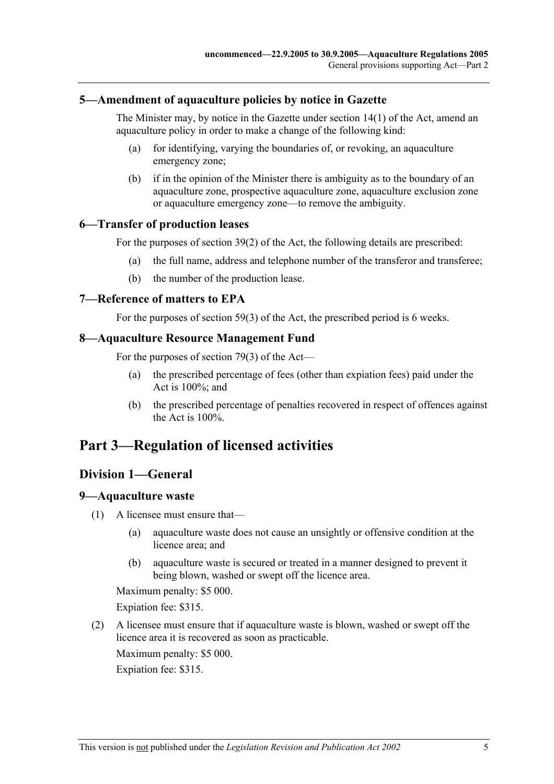#### **5—Amendment of aquaculture policies by notice in Gazette**

The Minister may, by notice in the Gazette under section 14(1) of the Act, amend an aquaculture policy in order to make a change of the following kind:

- (a) for identifying, varying the boundaries of, or revoking, an aquaculture emergency zone;
- (b) if in the opinion of the Minister there is ambiguity as to the boundary of an aquaculture zone, prospective aquaculture zone, aquaculture exclusion zone or aquaculture emergency zone—to remove the ambiguity.

#### **6—Transfer of production leases**

For the purposes of section 39(2) of the Act, the following details are prescribed:

- (a) the full name, address and telephone number of the transferor and transferee;
- (b) the number of the production lease.

#### **7—Reference of matters to EPA**

For the purposes of section 59(3) of the Act, the prescribed period is 6 weeks.

#### **8—Aquaculture Resource Management Fund**

For the purposes of section 79(3) of the Act—

- (a) the prescribed percentage of fees (other than expiation fees) paid under the Act is 100%; and
- (b) the prescribed percentage of penalties recovered in respect of offences against the Act is 100%.

## **Part 3—Regulation of licensed activities**

## **Division 1—General**

#### **9—Aquaculture waste**

- (1) A licensee must ensure that—
	- (a) aquaculture waste does not cause an unsightly or offensive condition at the licence area; and
	- (b) aquaculture waste is secured or treated in a manner designed to prevent it being blown, washed or swept off the licence area.

Maximum penalty: \$5 000.

Expiation fee: \$315.

 (2) A licensee must ensure that if aquaculture waste is blown, washed or swept off the licence area it is recovered as soon as practicable.

Maximum penalty: \$5 000. Expiation fee: \$315.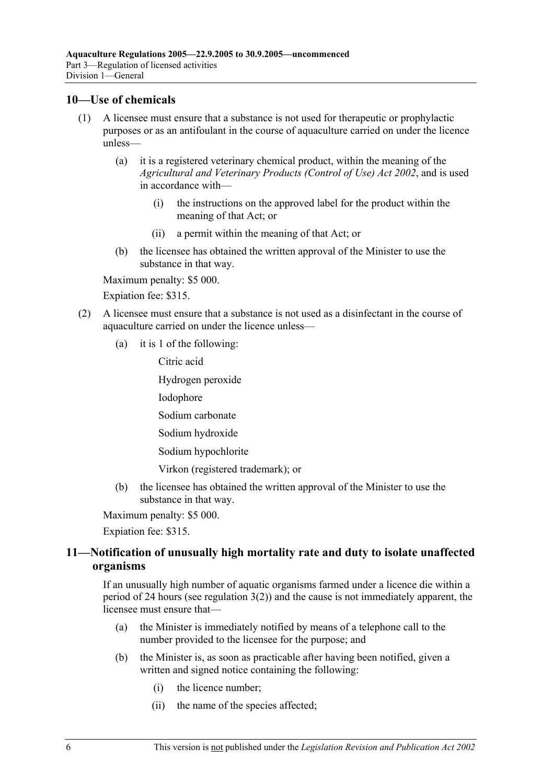## **10—Use of chemicals**

- (1) A licensee must ensure that a substance is not used for therapeutic or prophylactic purposes or as an antifoulant in the course of aquaculture carried on under the licence unless—
	- (a) it is a registered veterinary chemical product, within the meaning of the *Agricultural and Veterinary Products (Control of Use) Act 2002*, and is used in accordance with—
		- (i) the instructions on the approved label for the product within the meaning of that Act; or
		- (ii) a permit within the meaning of that Act; or
	- (b) the licensee has obtained the written approval of the Minister to use the substance in that way.

Maximum penalty: \$5 000.

Expiation fee: \$315.

- (2) A licensee must ensure that a substance is not used as a disinfectant in the course of aquaculture carried on under the licence unless—
	- (a) it is 1 of the following:

Citric acid

Hydrogen peroxide

Iodophore

Sodium carbonate

- Sodium hydroxide
- Sodium hypochlorite

Virkon (registered trademark); or

 (b) the licensee has obtained the written approval of the Minister to use the substance in that way.

Maximum penalty: \$5 000.

Expiation fee: \$315.

## **11—Notification of unusually high mortality rate and duty to isolate unaffected organisms**

If an unusually high number of aquatic organisms farmed under a licence die within a period of 24 hours (see regulation 3(2)) and the cause is not immediately apparent, the licensee must ensure that—

- (a) the Minister is immediately notified by means of a telephone call to the number provided to the licensee for the purpose; and
- (b) the Minister is, as soon as practicable after having been notified, given a written and signed notice containing the following:
	- (i) the licence number;
	- (ii) the name of the species affected;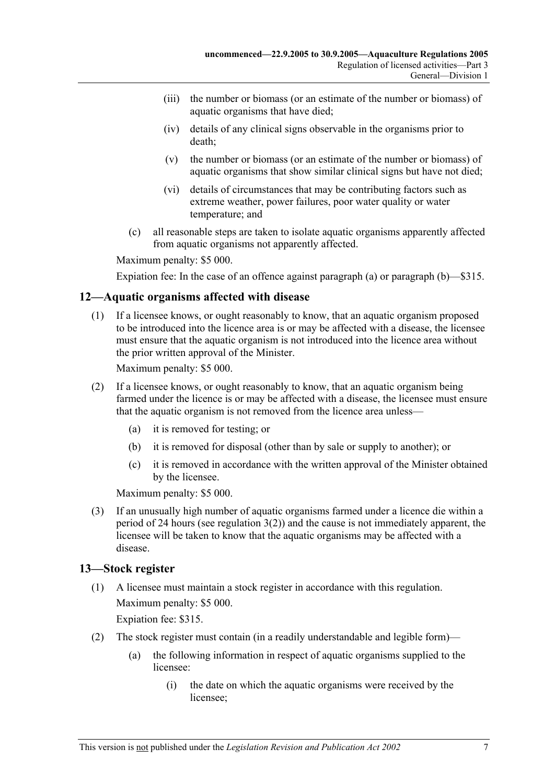- (iii) the number or biomass (or an estimate of the number or biomass) of aquatic organisms that have died;
- (iv) details of any clinical signs observable in the organisms prior to death;
- (v) the number or biomass (or an estimate of the number or biomass) of aquatic organisms that show similar clinical signs but have not died;
- (vi) details of circumstances that may be contributing factors such as extreme weather, power failures, poor water quality or water temperature; and
- (c) all reasonable steps are taken to isolate aquatic organisms apparently affected from aquatic organisms not apparently affected.

Expiation fee: In the case of an offence against paragraph (a) or paragraph (b)—\$315.

## **12—Aquatic organisms affected with disease**

 (1) If a licensee knows, or ought reasonably to know, that an aquatic organism proposed to be introduced into the licence area is or may be affected with a disease, the licensee must ensure that the aquatic organism is not introduced into the licence area without the prior written approval of the Minister.

Maximum penalty: \$5 000.

- (2) If a licensee knows, or ought reasonably to know, that an aquatic organism being farmed under the licence is or may be affected with a disease, the licensee must ensure that the aquatic organism is not removed from the licence area unless—
	- (a) it is removed for testing; or
	- (b) it is removed for disposal (other than by sale or supply to another); or
	- (c) it is removed in accordance with the written approval of the Minister obtained by the licensee.

Maximum penalty: \$5 000.

 (3) If an unusually high number of aquatic organisms farmed under a licence die within a period of 24 hours (see regulation 3(2)) and the cause is not immediately apparent, the licensee will be taken to know that the aquatic organisms may be affected with a disease.

## **13—Stock register**

 (1) A licensee must maintain a stock register in accordance with this regulation. Maximum penalty: \$5 000.

Expiation fee: \$315.

- (2) The stock register must contain (in a readily understandable and legible form)—
	- (a) the following information in respect of aquatic organisms supplied to the licensee:
		- (i) the date on which the aquatic organisms were received by the licensee;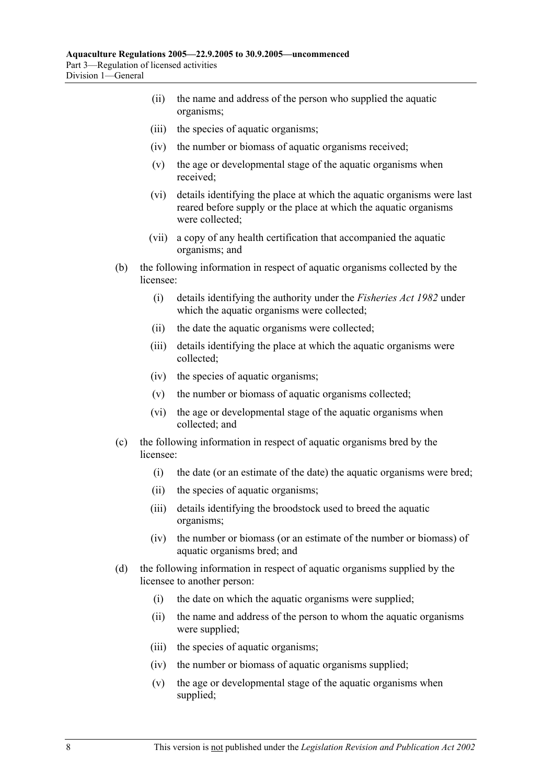- (ii) the name and address of the person who supplied the aquatic organisms;
- (iii) the species of aquatic organisms;
- (iv) the number or biomass of aquatic organisms received;
- (v) the age or developmental stage of the aquatic organisms when received;
- (vi) details identifying the place at which the aquatic organisms were last reared before supply or the place at which the aquatic organisms were collected;
- (vii) a copy of any health certification that accompanied the aquatic organisms; and
- (b) the following information in respect of aquatic organisms collected by the licensee:
	- (i) details identifying the authority under the *Fisheries Act 1982* under which the aquatic organisms were collected;
	- (ii) the date the aquatic organisms were collected;
	- (iii) details identifying the place at which the aquatic organisms were collected;
	- (iv) the species of aquatic organisms;
	- (v) the number or biomass of aquatic organisms collected;
	- (vi) the age or developmental stage of the aquatic organisms when collected; and
- (c) the following information in respect of aquatic organisms bred by the licensee:
	- (i) the date (or an estimate of the date) the aquatic organisms were bred;
	- (ii) the species of aquatic organisms;
	- (iii) details identifying the broodstock used to breed the aquatic organisms;
	- (iv) the number or biomass (or an estimate of the number or biomass) of aquatic organisms bred; and
- (d) the following information in respect of aquatic organisms supplied by the licensee to another person:
	- (i) the date on which the aquatic organisms were supplied;
	- (ii) the name and address of the person to whom the aquatic organisms were supplied;
	- (iii) the species of aquatic organisms;
	- (iv) the number or biomass of aquatic organisms supplied;
	- (v) the age or developmental stage of the aquatic organisms when supplied;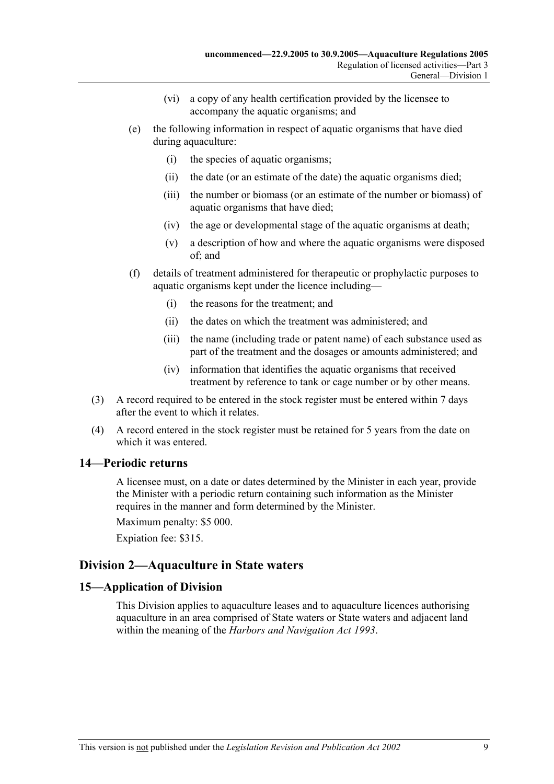- (vi) a copy of any health certification provided by the licensee to accompany the aquatic organisms; and
- (e) the following information in respect of aquatic organisms that have died during aquaculture:
	- (i) the species of aquatic organisms;
	- (ii) the date (or an estimate of the date) the aquatic organisms died;
	- (iii) the number or biomass (or an estimate of the number or biomass) of aquatic organisms that have died;
	- (iv) the age or developmental stage of the aquatic organisms at death;
	- (v) a description of how and where the aquatic organisms were disposed of; and
- (f) details of treatment administered for therapeutic or prophylactic purposes to aquatic organisms kept under the licence including—
	- (i) the reasons for the treatment; and
	- (ii) the dates on which the treatment was administered; and
	- (iii) the name (including trade or patent name) of each substance used as part of the treatment and the dosages or amounts administered; and
	- (iv) information that identifies the aquatic organisms that received treatment by reference to tank or cage number or by other means.
- (3) A record required to be entered in the stock register must be entered within 7 days after the event to which it relates.
- (4) A record entered in the stock register must be retained for 5 years from the date on which it was entered.

## **14—Periodic returns**

A licensee must, on a date or dates determined by the Minister in each year, provide the Minister with a periodic return containing such information as the Minister requires in the manner and form determined by the Minister.

Maximum penalty: \$5 000.

Expiation fee: \$315.

## **Division 2—Aquaculture in State waters**

## **15—Application of Division**

This Division applies to aquaculture leases and to aquaculture licences authorising aquaculture in an area comprised of State waters or State waters and adjacent land within the meaning of the *Harbors and Navigation Act 1993*.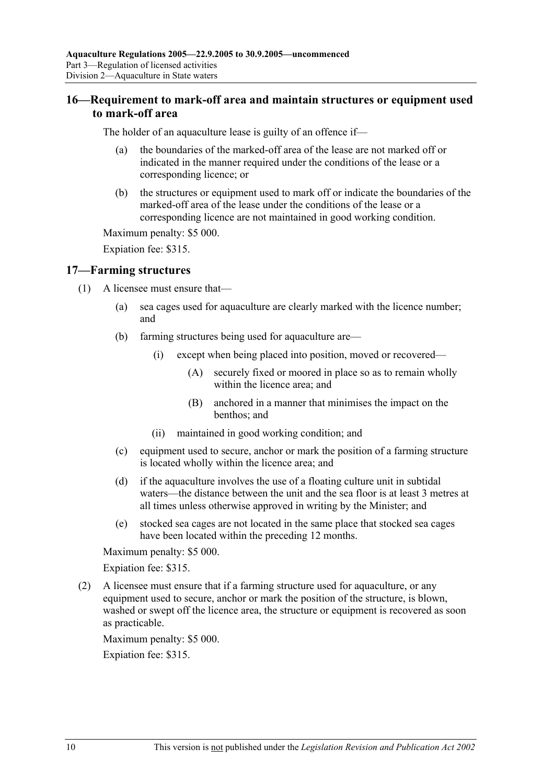## **16—Requirement to mark-off area and maintain structures or equipment used to mark-off area**

The holder of an aquaculture lease is guilty of an offence if—

- (a) the boundaries of the marked-off area of the lease are not marked off or indicated in the manner required under the conditions of the lease or a corresponding licence; or
- (b) the structures or equipment used to mark off or indicate the boundaries of the marked-off area of the lease under the conditions of the lease or a corresponding licence are not maintained in good working condition.

Maximum penalty: \$5 000.

Expiation fee: \$315.

#### **17—Farming structures**

- (1) A licensee must ensure that—
	- (a) sea cages used for aquaculture are clearly marked with the licence number; and
	- (b) farming structures being used for aquaculture are—
		- (i) except when being placed into position, moved or recovered—
			- (A) securely fixed or moored in place so as to remain wholly within the licence area; and
			- (B) anchored in a manner that minimises the impact on the benthos; and
		- (ii) maintained in good working condition; and
	- (c) equipment used to secure, anchor or mark the position of a farming structure is located wholly within the licence area; and
	- (d) if the aquaculture involves the use of a floating culture unit in subtidal waters—the distance between the unit and the sea floor is at least 3 metres at all times unless otherwise approved in writing by the Minister; and
	- (e) stocked sea cages are not located in the same place that stocked sea cages have been located within the preceding 12 months.

Maximum penalty: \$5 000.

Expiation fee: \$315.

 (2) A licensee must ensure that if a farming structure used for aquaculture, or any equipment used to secure, anchor or mark the position of the structure, is blown, washed or swept off the licence area, the structure or equipment is recovered as soon as practicable.

Maximum penalty: \$5 000.

Expiation fee: \$315.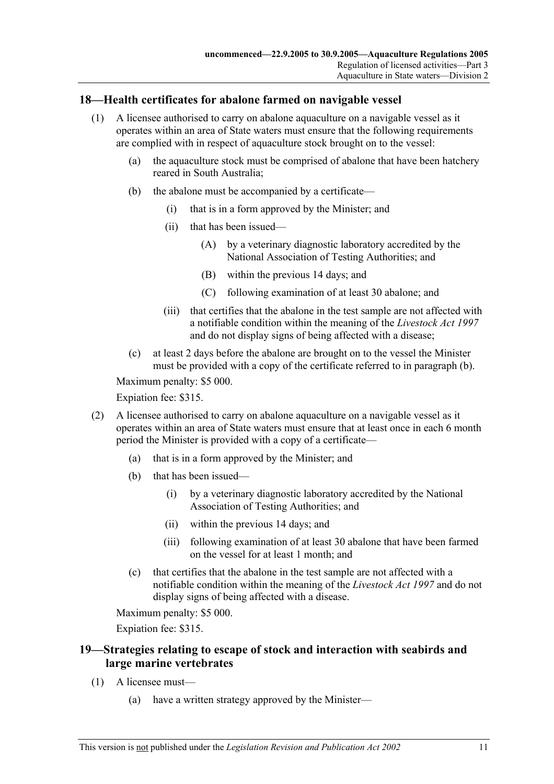## **18—Health certificates for abalone farmed on navigable vessel**

- (1) A licensee authorised to carry on abalone aquaculture on a navigable vessel as it operates within an area of State waters must ensure that the following requirements are complied with in respect of aquaculture stock brought on to the vessel:
	- (a) the aquaculture stock must be comprised of abalone that have been hatchery reared in South Australia;
	- (b) the abalone must be accompanied by a certificate—
		- (i) that is in a form approved by the Minister; and
		- (ii) that has been issued—
			- (A) by a veterinary diagnostic laboratory accredited by the National Association of Testing Authorities; and
			- (B) within the previous 14 days; and
			- (C) following examination of at least 30 abalone; and
		- (iii) that certifies that the abalone in the test sample are not affected with a notifiable condition within the meaning of the *Livestock Act 1997* and do not display signs of being affected with a disease;
	- (c) at least 2 days before the abalone are brought on to the vessel the Minister must be provided with a copy of the certificate referred to in paragraph (b).

Maximum penalty: \$5 000.

Expiation fee: \$315.

- (2) A licensee authorised to carry on abalone aquaculture on a navigable vessel as it operates within an area of State waters must ensure that at least once in each 6 month period the Minister is provided with a copy of a certificate—
	- (a) that is in a form approved by the Minister; and
	- (b) that has been issued—
		- (i) by a veterinary diagnostic laboratory accredited by the National Association of Testing Authorities; and
		- (ii) within the previous 14 days; and
		- (iii) following examination of at least 30 abalone that have been farmed on the vessel for at least 1 month; and
	- (c) that certifies that the abalone in the test sample are not affected with a notifiable condition within the meaning of the *Livestock Act 1997* and do not display signs of being affected with a disease.

Maximum penalty: \$5 000.

Expiation fee: \$315.

## **19—Strategies relating to escape of stock and interaction with seabirds and large marine vertebrates**

- (1) A licensee must—
	- (a) have a written strategy approved by the Minister—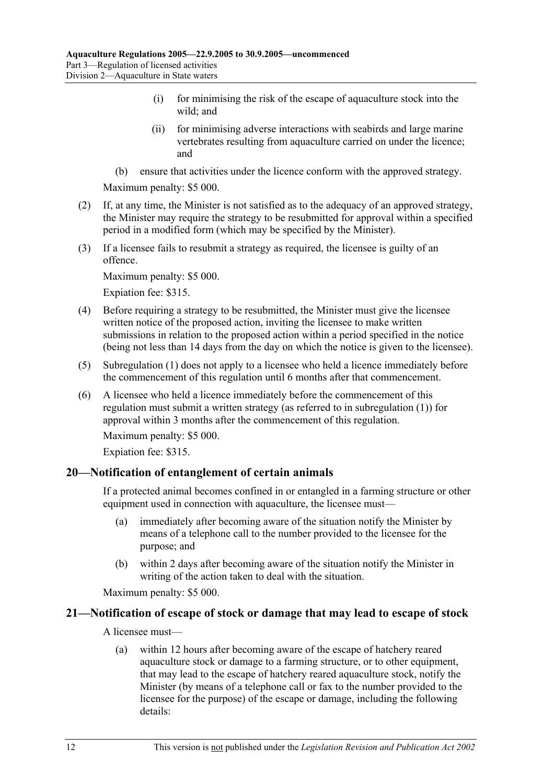- (i) for minimising the risk of the escape of aquaculture stock into the wild; and
- (ii) for minimising adverse interactions with seabirds and large marine vertebrates resulting from aquaculture carried on under the licence; and
- (b) ensure that activities under the licence conform with the approved strategy.

- (2) If, at any time, the Minister is not satisfied as to the adequacy of an approved strategy, the Minister may require the strategy to be resubmitted for approval within a specified period in a modified form (which may be specified by the Minister).
- (3) If a licensee fails to resubmit a strategy as required, the licensee is guilty of an offence.

Maximum penalty: \$5 000.

Expiation fee: \$315.

- (4) Before requiring a strategy to be resubmitted, the Minister must give the licensee written notice of the proposed action, inviting the licensee to make written submissions in relation to the proposed action within a period specified in the notice (being not less than 14 days from the day on which the notice is given to the licensee).
- (5) Subregulation (1) does not apply to a licensee who held a licence immediately before the commencement of this regulation until 6 months after that commencement.
- (6) A licensee who held a licence immediately before the commencement of this regulation must submit a written strategy (as referred to in subregulation (1)) for approval within 3 months after the commencement of this regulation.

Maximum penalty: \$5 000.

Expiation fee: \$315.

#### **20—Notification of entanglement of certain animals**

If a protected animal becomes confined in or entangled in a farming structure or other equipment used in connection with aquaculture, the licensee must—

- (a) immediately after becoming aware of the situation notify the Minister by means of a telephone call to the number provided to the licensee for the purpose; and
- (b) within 2 days after becoming aware of the situation notify the Minister in writing of the action taken to deal with the situation.

Maximum penalty: \$5 000.

## **21—Notification of escape of stock or damage that may lead to escape of stock**

A licensee must—

 (a) within 12 hours after becoming aware of the escape of hatchery reared aquaculture stock or damage to a farming structure, or to other equipment, that may lead to the escape of hatchery reared aquaculture stock, notify the Minister (by means of a telephone call or fax to the number provided to the licensee for the purpose) of the escape or damage, including the following details: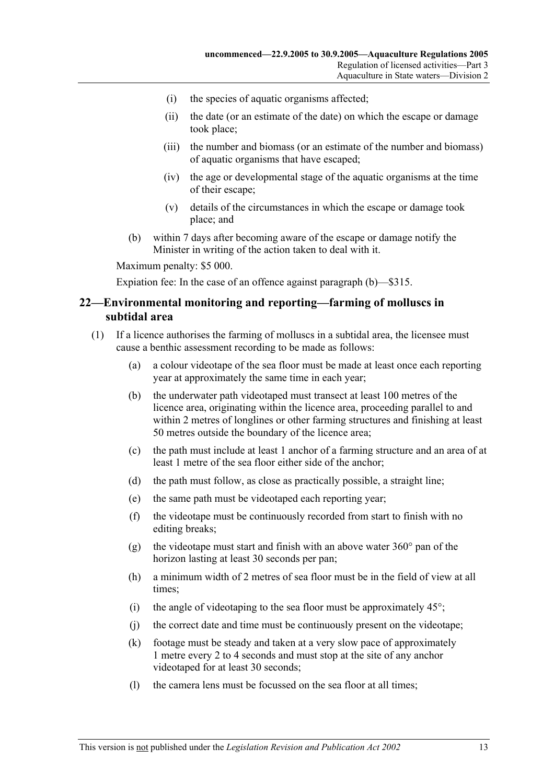- (i) the species of aquatic organisms affected;
- (ii) the date (or an estimate of the date) on which the escape or damage took place;
- (iii) the number and biomass (or an estimate of the number and biomass) of aquatic organisms that have escaped;
- (iv) the age or developmental stage of the aquatic organisms at the time of their escape;
- (v) details of the circumstances in which the escape or damage took place; and
- (b) within 7 days after becoming aware of the escape or damage notify the Minister in writing of the action taken to deal with it.

Expiation fee: In the case of an offence against paragraph (b)—\$315.

#### **22—Environmental monitoring and reporting—farming of molluscs in subtidal area**

- (1) If a licence authorises the farming of molluscs in a subtidal area, the licensee must cause a benthic assessment recording to be made as follows:
	- (a) a colour videotape of the sea floor must be made at least once each reporting year at approximately the same time in each year;
	- (b) the underwater path videotaped must transect at least 100 metres of the licence area, originating within the licence area, proceeding parallel to and within 2 metres of longlines or other farming structures and finishing at least 50 metres outside the boundary of the licence area;
	- (c) the path must include at least 1 anchor of a farming structure and an area of at least 1 metre of the sea floor either side of the anchor;
	- (d) the path must follow, as close as practically possible, a straight line;
	- (e) the same path must be videotaped each reporting year;
	- (f) the videotape must be continuously recorded from start to finish with no editing breaks;
	- (g) the videotape must start and finish with an above water  $360^{\circ}$  pan of the horizon lasting at least 30 seconds per pan;
	- (h) a minimum width of 2 metres of sea floor must be in the field of view at all times;
	- (i) the angle of videotaping to the sea floor must be approximately  $45^{\circ}$ ;
	- (j) the correct date and time must be continuously present on the videotape;
	- (k) footage must be steady and taken at a very slow pace of approximately 1 metre every 2 to 4 seconds and must stop at the site of any anchor videotaped for at least 30 seconds;
	- (l) the camera lens must be focussed on the sea floor at all times;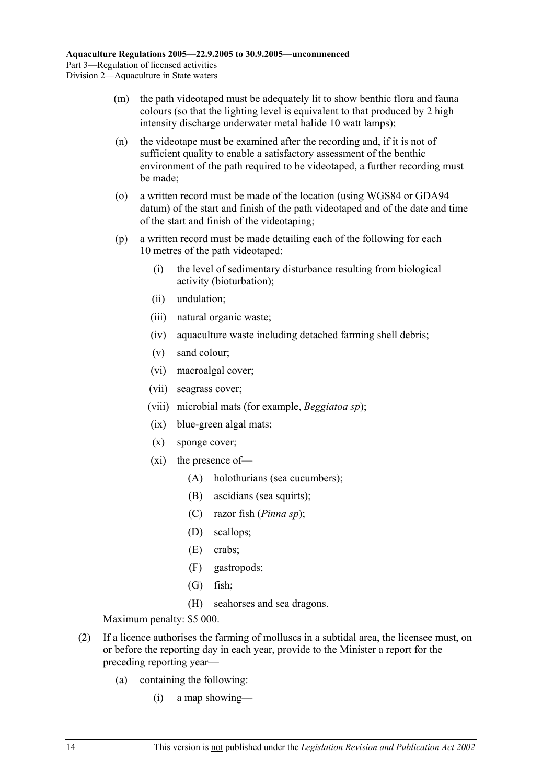- (m) the path videotaped must be adequately lit to show benthic flora and fauna colours (so that the lighting level is equivalent to that produced by 2 high intensity discharge underwater metal halide 10 watt lamps);
- (n) the videotape must be examined after the recording and, if it is not of sufficient quality to enable a satisfactory assessment of the benthic environment of the path required to be videotaped, a further recording must be made;
- (o) a written record must be made of the location (using WGS84 or GDA94 datum) of the start and finish of the path videotaped and of the date and time of the start and finish of the videotaping;
- (p) a written record must be made detailing each of the following for each 10 metres of the path videotaped:
	- (i) the level of sedimentary disturbance resulting from biological activity (bioturbation);
	- (ii) undulation;
	- (iii) natural organic waste;
	- (iv) aquaculture waste including detached farming shell debris;
	- (v) sand colour;
	- (vi) macroalgal cover;
	- (vii) seagrass cover;
	- (viii) microbial mats (for example, *Beggiatoa sp*);
	- (ix) blue-green algal mats;
	- (x) sponge cover;
	- (xi) the presence of—
		- (A) holothurians (sea cucumbers);
		- (B) ascidians (sea squirts);
		- (C) razor fish (*Pinna sp*);
		- (D) scallops;
		- (E) crabs;
		- (F) gastropods;
		- (G) fish;
		- (H) seahorses and sea dragons.

- (2) If a licence authorises the farming of molluscs in a subtidal area, the licensee must, on or before the reporting day in each year, provide to the Minister a report for the preceding reporting year—
	- (a) containing the following:
		- (i) a map showing—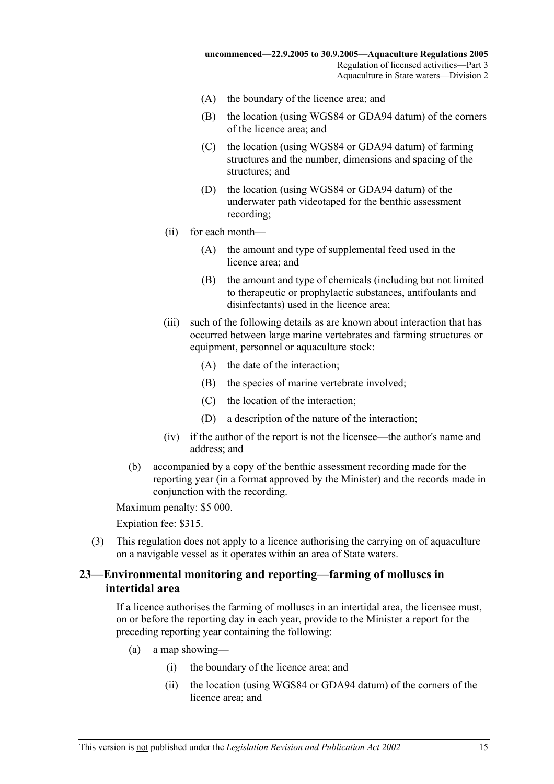- (A) the boundary of the licence area; and
- (B) the location (using WGS84 or GDA94 datum) of the corners of the licence area; and
- (C) the location (using WGS84 or GDA94 datum) of farming structures and the number, dimensions and spacing of the structures; and
- (D) the location (using WGS84 or GDA94 datum) of the underwater path videotaped for the benthic assessment recording;
- (ii) for each month—
	- (A) the amount and type of supplemental feed used in the licence area; and
	- (B) the amount and type of chemicals (including but not limited to therapeutic or prophylactic substances, antifoulants and disinfectants) used in the licence area;
- (iii) such of the following details as are known about interaction that has occurred between large marine vertebrates and farming structures or equipment, personnel or aquaculture stock:
	- (A) the date of the interaction;
	- (B) the species of marine vertebrate involved;
	- (C) the location of the interaction;
	- (D) a description of the nature of the interaction;
- (iv) if the author of the report is not the licensee—the author's name and address; and
- (b) accompanied by a copy of the benthic assessment recording made for the reporting year (in a format approved by the Minister) and the records made in conjunction with the recording.

Expiation fee: \$315.

 (3) This regulation does not apply to a licence authorising the carrying on of aquaculture on a navigable vessel as it operates within an area of State waters.

## **23—Environmental monitoring and reporting—farming of molluscs in intertidal area**

If a licence authorises the farming of molluscs in an intertidal area, the licensee must, on or before the reporting day in each year, provide to the Minister a report for the preceding reporting year containing the following:

- (a) a map showing—
	- (i) the boundary of the licence area; and
	- (ii) the location (using WGS84 or GDA94 datum) of the corners of the licence area; and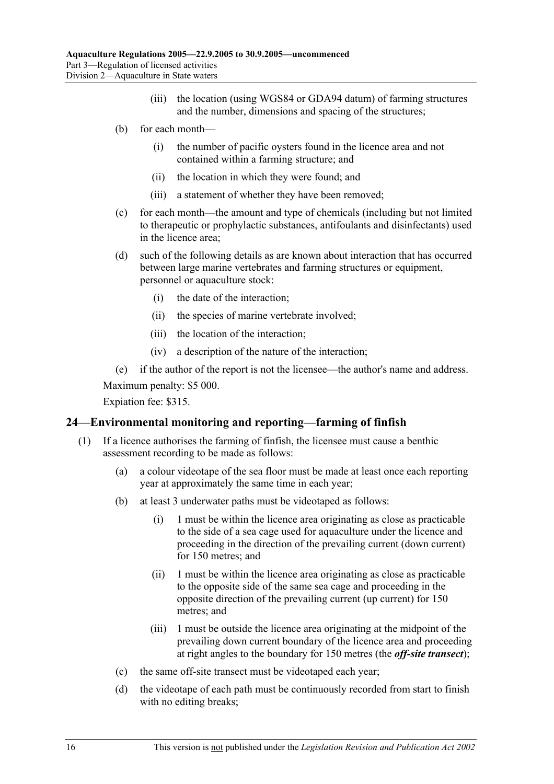- (iii) the location (using WGS84 or GDA94 datum) of farming structures and the number, dimensions and spacing of the structures;
- (b) for each month—
	- (i) the number of pacific oysters found in the licence area and not contained within a farming structure; and
	- (ii) the location in which they were found; and
	- (iii) a statement of whether they have been removed;
- (c) for each month—the amount and type of chemicals (including but not limited to therapeutic or prophylactic substances, antifoulants and disinfectants) used in the licence area;
- (d) such of the following details as are known about interaction that has occurred between large marine vertebrates and farming structures or equipment, personnel or aquaculture stock:
	- (i) the date of the interaction;
	- (ii) the species of marine vertebrate involved;
	- (iii) the location of the interaction;
	- (iv) a description of the nature of the interaction;

(e) if the author of the report is not the licensee—the author's name and address.

Maximum penalty: \$5 000.

Expiation fee: \$315.

## **24—Environmental monitoring and reporting—farming of finfish**

- (1) If a licence authorises the farming of finfish, the licensee must cause a benthic assessment recording to be made as follows:
	- (a) a colour videotape of the sea floor must be made at least once each reporting year at approximately the same time in each year;
	- (b) at least 3 underwater paths must be videotaped as follows:
		- (i) 1 must be within the licence area originating as close as practicable to the side of a sea cage used for aquaculture under the licence and proceeding in the direction of the prevailing current (down current) for 150 metres; and
		- (ii) 1 must be within the licence area originating as close as practicable to the opposite side of the same sea cage and proceeding in the opposite direction of the prevailing current (up current) for 150 metres; and
		- (iii) 1 must be outside the licence area originating at the midpoint of the prevailing down current boundary of the licence area and proceeding at right angles to the boundary for 150 metres (the *off-site transect*);
	- (c) the same off-site transect must be videotaped each year;
	- (d) the videotape of each path must be continuously recorded from start to finish with no editing breaks;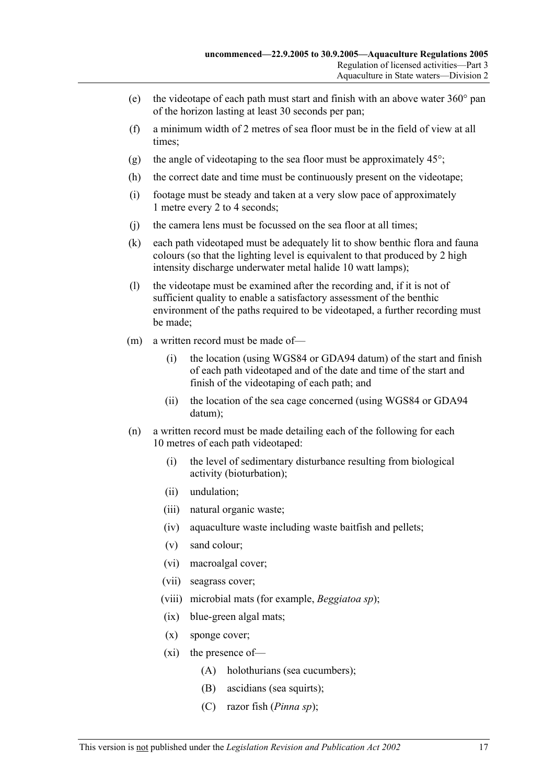- (e) the videotape of each path must start and finish with an above water  $360^{\circ}$  pan of the horizon lasting at least 30 seconds per pan;
- (f) a minimum width of 2 metres of sea floor must be in the field of view at all times;
- (g) the angle of videotaping to the sea floor must be approximately  $45^{\circ}$ ;
- (h) the correct date and time must be continuously present on the videotape;
- (i) footage must be steady and taken at a very slow pace of approximately 1 metre every 2 to 4 seconds;
- (j) the camera lens must be focussed on the sea floor at all times;
- (k) each path videotaped must be adequately lit to show benthic flora and fauna colours (so that the lighting level is equivalent to that produced by 2 high intensity discharge underwater metal halide 10 watt lamps);
- (l) the videotape must be examined after the recording and, if it is not of sufficient quality to enable a satisfactory assessment of the benthic environment of the paths required to be videotaped, a further recording must be made;
- (m) a written record must be made of—
	- (i) the location (using WGS84 or GDA94 datum) of the start and finish of each path videotaped and of the date and time of the start and finish of the videotaping of each path; and
	- (ii) the location of the sea cage concerned (using WGS84 or GDA94 datum);
- (n) a written record must be made detailing each of the following for each 10 metres of each path videotaped:
	- (i) the level of sedimentary disturbance resulting from biological activity (bioturbation);
	- (ii) undulation;
	- (iii) natural organic waste;
	- (iv) aquaculture waste including waste baitfish and pellets;
	- (v) sand colour;
	- (vi) macroalgal cover;
	- (vii) seagrass cover;
	- (viii) microbial mats (for example, *Beggiatoa sp*);
	- (ix) blue-green algal mats;
	- (x) sponge cover;
	- (xi) the presence of—
		- (A) holothurians (sea cucumbers);
		- (B) ascidians (sea squirts);
		- (C) razor fish (*Pinna sp*);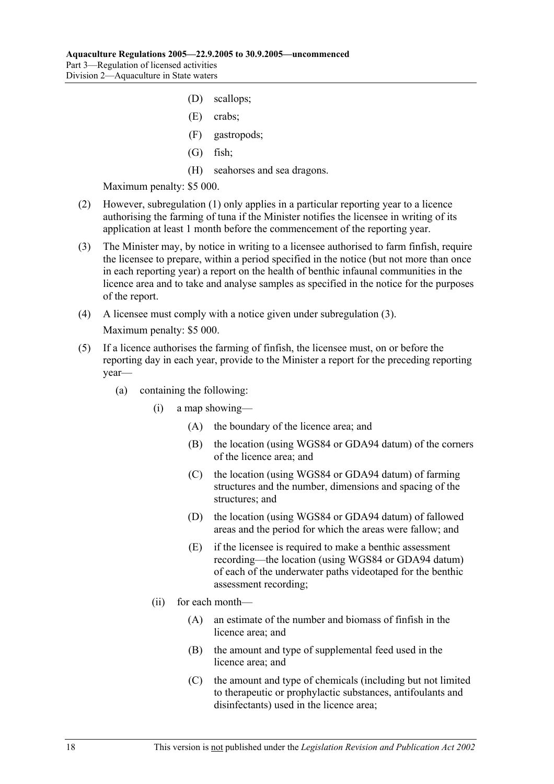- (D) scallops;
- (E) crabs;
- (F) gastropods;
- (G) fish;
- (H) seahorses and sea dragons.

- (2) However, subregulation (1) only applies in a particular reporting year to a licence authorising the farming of tuna if the Minister notifies the licensee in writing of its application at least 1 month before the commencement of the reporting year.
- (3) The Minister may, by notice in writing to a licensee authorised to farm finfish, require the licensee to prepare, within a period specified in the notice (but not more than once in each reporting year) a report on the health of benthic infaunal communities in the licence area and to take and analyse samples as specified in the notice for the purposes of the report.
- (4) A licensee must comply with a notice given under subregulation (3). Maximum penalty: \$5 000.
- (5) If a licence authorises the farming of finfish, the licensee must, on or before the reporting day in each year, provide to the Minister a report for the preceding reporting year—
	- (a) containing the following:
		- (i) a map showing—
			- (A) the boundary of the licence area; and
			- (B) the location (using WGS84 or GDA94 datum) of the corners of the licence area; and
			- (C) the location (using WGS84 or GDA94 datum) of farming structures and the number, dimensions and spacing of the structures; and
			- (D) the location (using WGS84 or GDA94 datum) of fallowed areas and the period for which the areas were fallow; and
			- (E) if the licensee is required to make a benthic assessment recording—the location (using WGS84 or GDA94 datum) of each of the underwater paths videotaped for the benthic assessment recording;
		- (ii) for each month—
			- (A) an estimate of the number and biomass of finfish in the licence area; and
			- (B) the amount and type of supplemental feed used in the licence area; and
			- (C) the amount and type of chemicals (including but not limited to therapeutic or prophylactic substances, antifoulants and disinfectants) used in the licence area;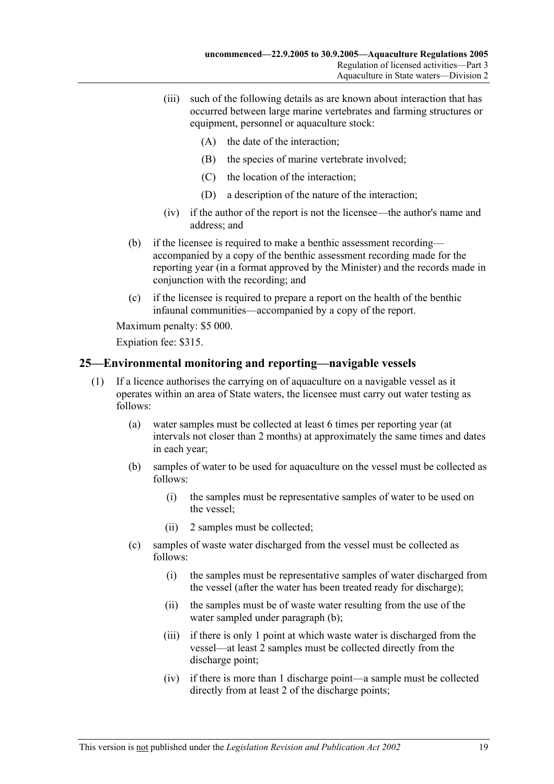- (iii) such of the following details as are known about interaction that has occurred between large marine vertebrates and farming structures or equipment, personnel or aquaculture stock:
	- (A) the date of the interaction;
	- (B) the species of marine vertebrate involved;
	- (C) the location of the interaction;
	- (D) a description of the nature of the interaction;
- (iv) if the author of the report is not the licensee—the author's name and address; and
- (b) if the licensee is required to make a benthic assessment recording accompanied by a copy of the benthic assessment recording made for the reporting year (in a format approved by the Minister) and the records made in conjunction with the recording; and
- (c) if the licensee is required to prepare a report on the health of the benthic infaunal communities—accompanied by a copy of the report.

Expiation fee: \$315.

## **25—Environmental monitoring and reporting—navigable vessels**

- (1) If a licence authorises the carrying on of aquaculture on a navigable vessel as it operates within an area of State waters, the licensee must carry out water testing as follows:
	- (a) water samples must be collected at least 6 times per reporting year (at intervals not closer than 2 months) at approximately the same times and dates in each year;
	- (b) samples of water to be used for aquaculture on the vessel must be collected as follows:
		- (i) the samples must be representative samples of water to be used on the vessel;
		- (ii) 2 samples must be collected;
	- (c) samples of waste water discharged from the vessel must be collected as follows:
		- (i) the samples must be representative samples of water discharged from the vessel (after the water has been treated ready for discharge);
		- (ii) the samples must be of waste water resulting from the use of the water sampled under paragraph (b);
		- (iii) if there is only 1 point at which waste water is discharged from the vessel—at least 2 samples must be collected directly from the discharge point;
		- (iv) if there is more than 1 discharge point—a sample must be collected directly from at least 2 of the discharge points;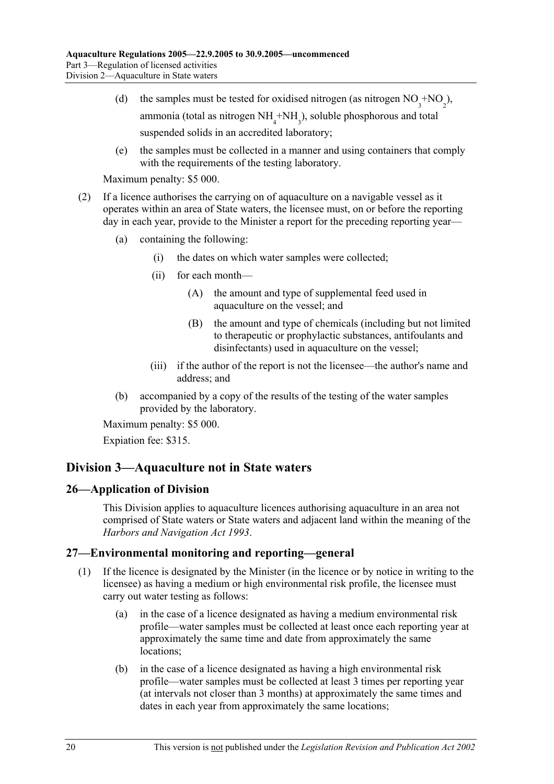- (d) the samples must be tested for oxidised nitrogen (as nitrogen  $NO_3^{\text{+}NO_2}$ ), ammonia (total as nitrogen  $NH<sub>4</sub> + NH<sub>3</sub>$ ), soluble phosphorous and total suspended solids in an accredited laboratory;
	- (e) the samples must be collected in a manner and using containers that comply with the requirements of the testing laboratory.

- (2) If a licence authorises the carrying on of aquaculture on a navigable vessel as it operates within an area of State waters, the licensee must, on or before the reporting day in each year, provide to the Minister a report for the preceding reporting year—
	- (a) containing the following:
		- (i) the dates on which water samples were collected;
		- (ii) for each month—
			- (A) the amount and type of supplemental feed used in aquaculture on the vessel; and
			- (B) the amount and type of chemicals (including but not limited to therapeutic or prophylactic substances, antifoulants and disinfectants) used in aquaculture on the vessel;
		- (iii) if the author of the report is not the licensee—the author's name and address; and
	- (b) accompanied by a copy of the results of the testing of the water samples provided by the laboratory.

Maximum penalty: \$5 000.

Expiation fee: \$315.

## **Division 3—Aquaculture not in State waters**

## **26—Application of Division**

This Division applies to aquaculture licences authorising aquaculture in an area not comprised of State waters or State waters and adjacent land within the meaning of the *Harbors and Navigation Act 1993*.

## **27—Environmental monitoring and reporting—general**

- (1) If the licence is designated by the Minister (in the licence or by notice in writing to the licensee) as having a medium or high environmental risk profile, the licensee must carry out water testing as follows:
	- (a) in the case of a licence designated as having a medium environmental risk profile—water samples must be collected at least once each reporting year at approximately the same time and date from approximately the same locations;
	- (b) in the case of a licence designated as having a high environmental risk profile—water samples must be collected at least 3 times per reporting year (at intervals not closer than 3 months) at approximately the same times and dates in each year from approximately the same locations;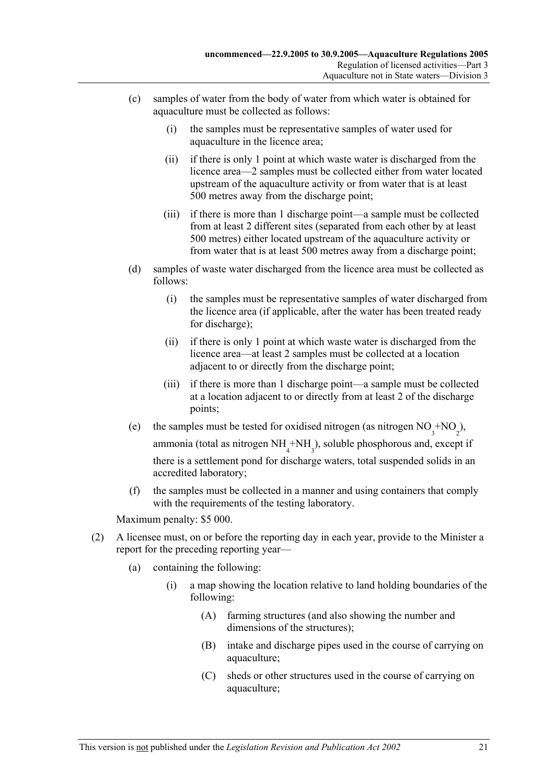- (c) samples of water from the body of water from which water is obtained for aquaculture must be collected as follows:
	- (i) the samples must be representative samples of water used for aquaculture in the licence area;
	- (ii) if there is only 1 point at which waste water is discharged from the licence area—2 samples must be collected either from water located upstream of the aquaculture activity or from water that is at least 500 metres away from the discharge point;
	- (iii) if there is more than 1 discharge point—a sample must be collected from at least 2 different sites (separated from each other by at least 500 metres) either located upstream of the aquaculture activity or from water that is at least 500 metres away from a discharge point;
- (d) samples of waste water discharged from the licence area must be collected as follows:
	- (i) the samples must be representative samples of water discharged from the licence area (if applicable, after the water has been treated ready for discharge);
	- (ii) if there is only 1 point at which waste water is discharged from the licence area—at least 2 samples must be collected at a location adjacent to or directly from the discharge point;
	- (iii) if there is more than 1 discharge point—a sample must be collected at a location adjacent to or directly from at least 2 of the discharge points;
- (e) the samples must be tested for oxidised nitrogen (as nitrogen  $NO_3^{\text{+}NO_2}$ ), ammonia (total as nitrogen  $NH_4^+NH_3^$ ), soluble phosphorous and, except if there is a settlement pond for discharge waters, total suspended solids in an accredited laboratory;
	- (f) the samples must be collected in a manner and using containers that comply with the requirements of the testing laboratory.

- (2) A licensee must, on or before the reporting day in each year, provide to the Minister a report for the preceding reporting year—
	- (a) containing the following:
		- (i) a map showing the location relative to land holding boundaries of the following:
			- (A) farming structures (and also showing the number and dimensions of the structures);
			- (B) intake and discharge pipes used in the course of carrying on aquaculture;
			- (C) sheds or other structures used in the course of carrying on aquaculture;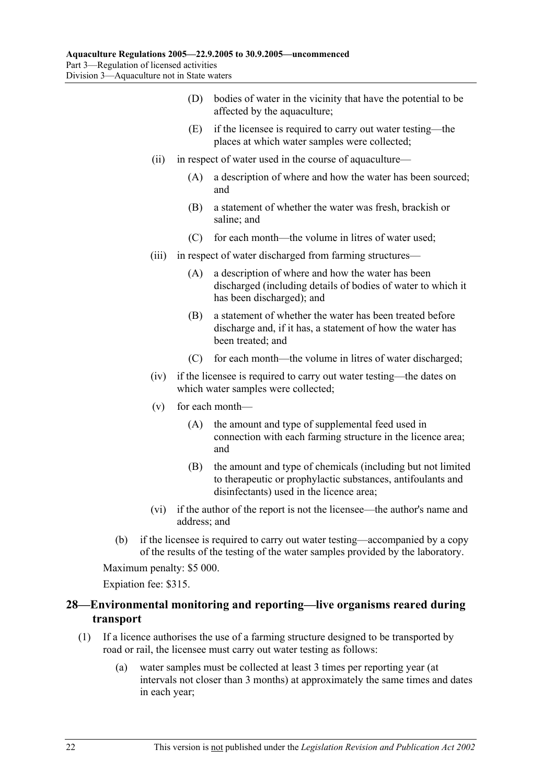- (D) bodies of water in the vicinity that have the potential to be affected by the aquaculture;
- (E) if the licensee is required to carry out water testing—the places at which water samples were collected;
- (ii) in respect of water used in the course of aquaculture—
	- (A) a description of where and how the water has been sourced; and
	- (B) a statement of whether the water was fresh, brackish or saline; and
	- (C) for each month—the volume in litres of water used;
- (iii) in respect of water discharged from farming structures—
	- (A) a description of where and how the water has been discharged (including details of bodies of water to which it has been discharged); and
	- (B) a statement of whether the water has been treated before discharge and, if it has, a statement of how the water has been treated; and
	- (C) for each month—the volume in litres of water discharged;
- (iv) if the licensee is required to carry out water testing—the dates on which water samples were collected;
- (v) for each month—
	- (A) the amount and type of supplemental feed used in connection with each farming structure in the licence area; and
	- (B) the amount and type of chemicals (including but not limited to therapeutic or prophylactic substances, antifoulants and disinfectants) used in the licence area;
- (vi) if the author of the report is not the licensee—the author's name and address; and
- (b) if the licensee is required to carry out water testing—accompanied by a copy of the results of the testing of the water samples provided by the laboratory.

Expiation fee: \$315.

## **28—Environmental monitoring and reporting—live organisms reared during transport**

- (1) If a licence authorises the use of a farming structure designed to be transported by road or rail, the licensee must carry out water testing as follows:
	- (a) water samples must be collected at least 3 times per reporting year (at intervals not closer than 3 months) at approximately the same times and dates in each year;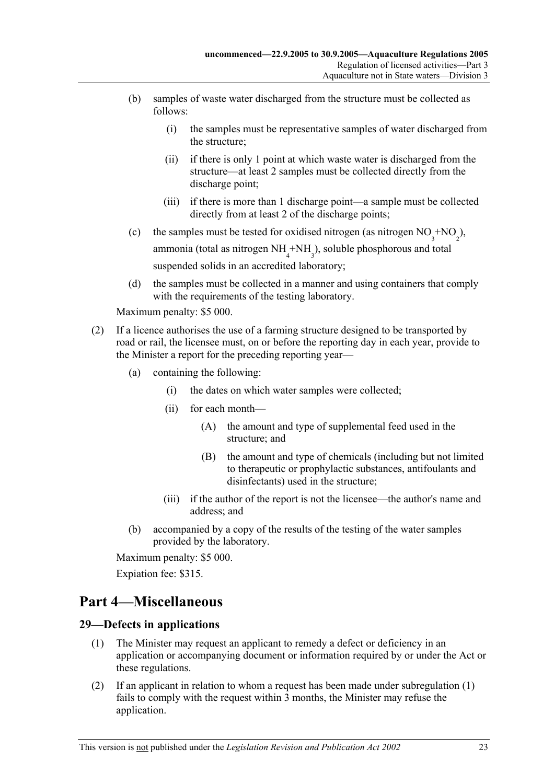- (b) samples of waste water discharged from the structure must be collected as follows:
	- (i) the samples must be representative samples of water discharged from the structure;
	- (ii) if there is only 1 point at which waste water is discharged from the structure—at least 2 samples must be collected directly from the discharge point;
	- (iii) if there is more than 1 discharge point—a sample must be collected directly from at least 2 of the discharge points;
- (c) the samples must be tested for oxidised nitrogen (as nitrogen  $NO_3^{\text{+}NO_2}$ ), ammonia (total as nitrogen  $NH<sub>4</sub> + NH<sub>3</sub>$ ), soluble phosphorous and total suspended solids in an accredited laboratory;
	- (d) the samples must be collected in a manner and using containers that comply with the requirements of the testing laboratory.

- (2) If a licence authorises the use of a farming structure designed to be transported by road or rail, the licensee must, on or before the reporting day in each year, provide to the Minister a report for the preceding reporting year—
	- (a) containing the following:
		- (i) the dates on which water samples were collected;
		- (ii) for each month—
			- (A) the amount and type of supplemental feed used in the structure; and
			- (B) the amount and type of chemicals (including but not limited to therapeutic or prophylactic substances, antifoulants and disinfectants) used in the structure;
		- (iii) if the author of the report is not the licensee—the author's name and address; and
	- (b) accompanied by a copy of the results of the testing of the water samples provided by the laboratory.

Maximum penalty: \$5 000.

Expiation fee: \$315.

## **Part 4—Miscellaneous**

## **29—Defects in applications**

- (1) The Minister may request an applicant to remedy a defect or deficiency in an application or accompanying document or information required by or under the Act or these regulations.
- (2) If an applicant in relation to whom a request has been made under subregulation (1) fails to comply with the request within 3 months, the Minister may refuse the application.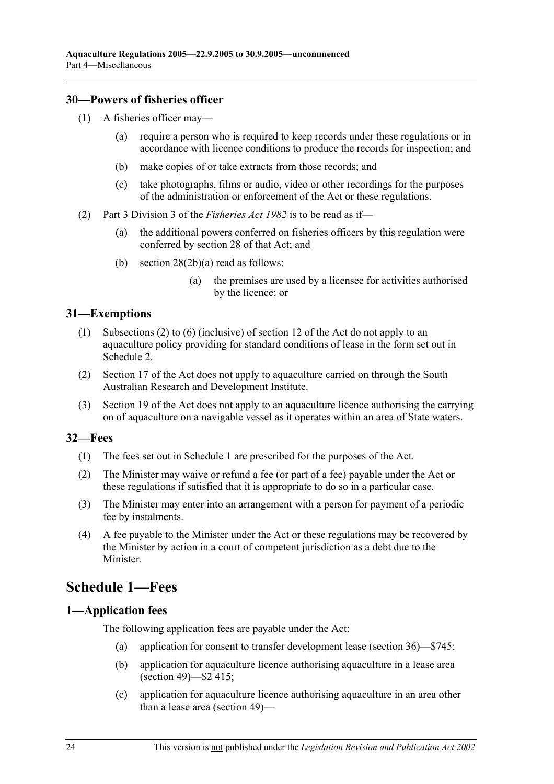## **30—Powers of fisheries officer**

- (1) A fisheries officer may—
	- (a) require a person who is required to keep records under these regulations or in accordance with licence conditions to produce the records for inspection; and
	- (b) make copies of or take extracts from those records; and
	- (c) take photographs, films or audio, video or other recordings for the purposes of the administration or enforcement of the Act or these regulations.
- (2) Part 3 Division 3 of the *Fisheries Act 1982* is to be read as if—
	- (a) the additional powers conferred on fisheries officers by this regulation were conferred by section 28 of that Act; and
	- (b) section 28(2b)(a) read as follows:
		- (a) the premises are used by a licensee for activities authorised by the licence; or

#### **31—Exemptions**

- (1) Subsections (2) to (6) (inclusive) of section 12 of the Act do not apply to an aquaculture policy providing for standard conditions of lease in the form set out in Schedule 2.
- (2) Section 17 of the Act does not apply to aquaculture carried on through the South Australian Research and Development Institute.
- (3) Section 19 of the Act does not apply to an aquaculture licence authorising the carrying on of aquaculture on a navigable vessel as it operates within an area of State waters.

## **32—Fees**

- (1) The fees set out in Schedule 1 are prescribed for the purposes of the Act.
- (2) The Minister may waive or refund a fee (or part of a fee) payable under the Act or these regulations if satisfied that it is appropriate to do so in a particular case.
- (3) The Minister may enter into an arrangement with a person for payment of a periodic fee by instalments.
- (4) A fee payable to the Minister under the Act or these regulations may be recovered by the Minister by action in a court of competent jurisdiction as a debt due to the Minister.

## **Schedule 1—Fees**

#### **1—Application fees**

The following application fees are payable under the Act:

- (a) application for consent to transfer development lease (section 36)—\$745;
- (b) application for aquaculture licence authorising aquaculture in a lease area (section 49)—\$2 415;
- (c) application for aquaculture licence authorising aquaculture in an area other than a lease area (section 49)—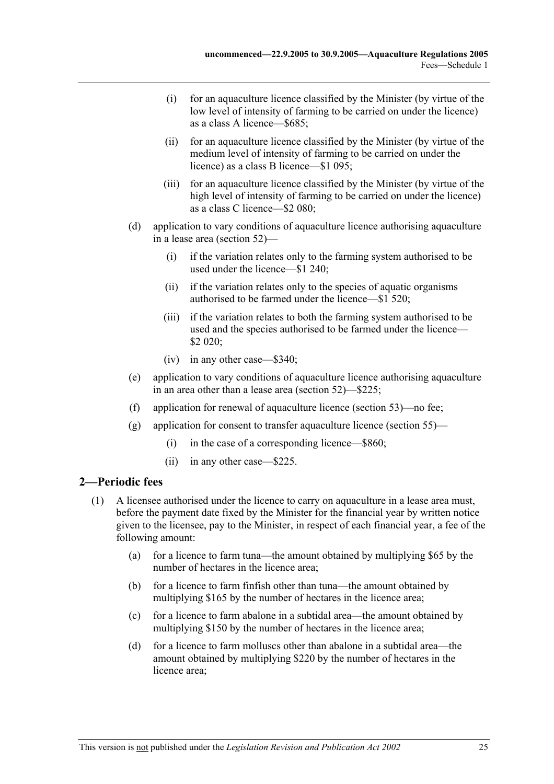- (i) for an aquaculture licence classified by the Minister (by virtue of the low level of intensity of farming to be carried on under the licence) as a class A licence—\$685;
- (ii) for an aquaculture licence classified by the Minister (by virtue of the medium level of intensity of farming to be carried on under the licence) as a class B licence—\$1 095;
- (iii) for an aquaculture licence classified by the Minister (by virtue of the high level of intensity of farming to be carried on under the licence) as a class C licence—\$2 080;
- (d) application to vary conditions of aquaculture licence authorising aquaculture in a lease area (section 52)—
	- (i) if the variation relates only to the farming system authorised to be used under the licence—\$1 240;
	- (ii) if the variation relates only to the species of aquatic organisms authorised to be farmed under the licence—\$1 520;
	- (iii) if the variation relates to both the farming system authorised to be used and the species authorised to be farmed under the licence— \$2 020;
	- (iv) in any other case—\$340;
- (e) application to vary conditions of aquaculture licence authorising aquaculture in an area other than a lease area (section 52)—\$225;
- (f) application for renewal of aquaculture licence (section 53)—no fee;
- (g) application for consent to transfer aquaculture licence (section 55)—
	- (i) in the case of a corresponding licence—\$860;
	- (ii) in any other case—\$225.

## **2—Periodic fees**

- (1) A licensee authorised under the licence to carry on aquaculture in a lease area must, before the payment date fixed by the Minister for the financial year by written notice given to the licensee, pay to the Minister, in respect of each financial year, a fee of the following amount:
	- (a) for a licence to farm tuna—the amount obtained by multiplying \$65 by the number of hectares in the licence area;
	- (b) for a licence to farm finfish other than tuna—the amount obtained by multiplying \$165 by the number of hectares in the licence area;
	- (c) for a licence to farm abalone in a subtidal area—the amount obtained by multiplying \$150 by the number of hectares in the licence area;
	- (d) for a licence to farm molluscs other than abalone in a subtidal area—the amount obtained by multiplying \$220 by the number of hectares in the licence area;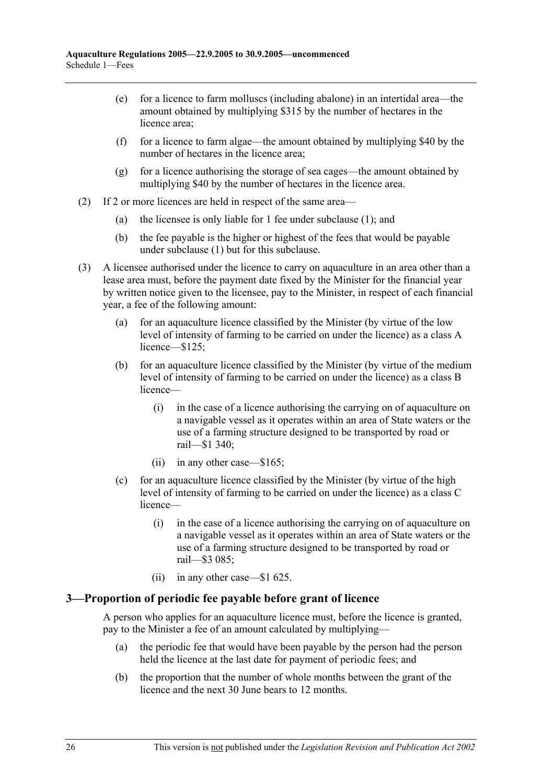- (e) for a licence to farm molluscs (including abalone) in an intertidal area—the amount obtained by multiplying \$315 by the number of hectares in the licence area;
- (f) for a licence to farm algae—the amount obtained by multiplying \$40 by the number of hectares in the licence area;
- (g) for a licence authorising the storage of sea cages—the amount obtained by multiplying \$40 by the number of hectares in the licence area.
- (2) If 2 or more licences are held in respect of the same area—
	- (a) the licensee is only liable for 1 fee under subclause (1); and
	- (b) the fee payable is the higher or highest of the fees that would be payable under subclause (1) but for this subclause.
- (3) A licensee authorised under the licence to carry on aquaculture in an area other than a lease area must, before the payment date fixed by the Minister for the financial year by written notice given to the licensee, pay to the Minister, in respect of each financial year, a fee of the following amount:
	- (a) for an aquaculture licence classified by the Minister (by virtue of the low level of intensity of farming to be carried on under the licence) as a class A licence—\$125;
	- (b) for an aquaculture licence classified by the Minister (by virtue of the medium level of intensity of farming to be carried on under the licence) as a class B licence—
		- (i) in the case of a licence authorising the carrying on of aquaculture on a navigable vessel as it operates within an area of State waters or the use of a farming structure designed to be transported by road or rail—\$1 340;
		- (ii) in any other case—\$165;
	- (c) for an aquaculture licence classified by the Minister (by virtue of the high level of intensity of farming to be carried on under the licence) as a class C licence—
		- (i) in the case of a licence authorising the carrying on of aquaculture on a navigable vessel as it operates within an area of State waters or the use of a farming structure designed to be transported by road or rail—\$3 085;
		- (ii) in any other case—\$1 625.

#### **3—Proportion of periodic fee payable before grant of licence**

A person who applies for an aquaculture licence must, before the licence is granted, pay to the Minister a fee of an amount calculated by multiplying—

- (a) the periodic fee that would have been payable by the person had the person held the licence at the last date for payment of periodic fees; and
- (b) the proportion that the number of whole months between the grant of the licence and the next 30 June bears to 12 months.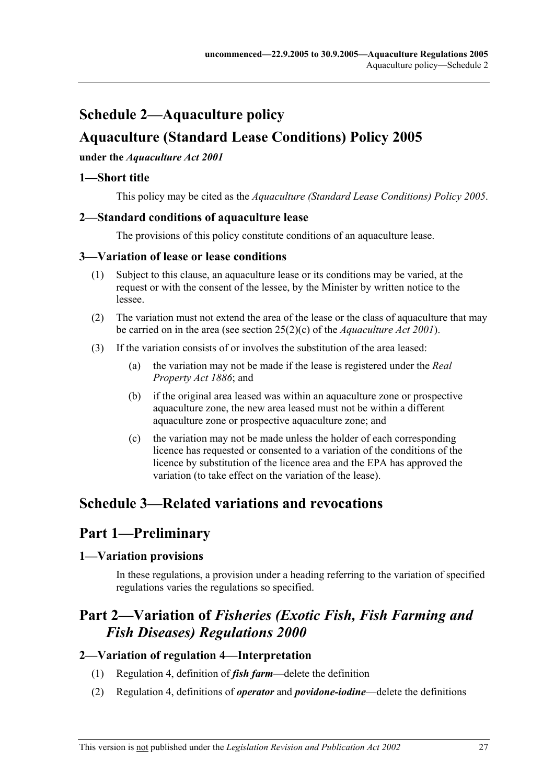# **Schedule 2—Aquaculture policy Aquaculture (Standard Lease Conditions) Policy 2005**

#### **under the** *Aquaculture Act 2001*

## **1—Short title**

This policy may be cited as the *Aquaculture (Standard Lease Conditions) Policy 2005*.

## **2—Standard conditions of aquaculture lease**

The provisions of this policy constitute conditions of an aquaculture lease.

## **3—Variation of lease or lease conditions**

- (1) Subject to this clause, an aquaculture lease or its conditions may be varied, at the request or with the consent of the lessee, by the Minister by written notice to the lessee.
- (2) The variation must not extend the area of the lease or the class of aquaculture that may be carried on in the area (see section 25(2)(c) of the *Aquaculture Act 2001*).
- (3) If the variation consists of or involves the substitution of the area leased:
	- (a) the variation may not be made if the lease is registered under the *Real Property Act 1886*; and
	- (b) if the original area leased was within an aquaculture zone or prospective aquaculture zone, the new area leased must not be within a different aquaculture zone or prospective aquaculture zone; and
	- (c) the variation may not be made unless the holder of each corresponding licence has requested or consented to a variation of the conditions of the licence by substitution of the licence area and the EPA has approved the variation (to take effect on the variation of the lease).

# **Schedule 3—Related variations and revocations**

# **Part 1—Preliminary**

## **1—Variation provisions**

In these regulations, a provision under a heading referring to the variation of specified regulations varies the regulations so specified.

# **Part 2—Variation of** *Fisheries (Exotic Fish, Fish Farming and Fish Diseases) Regulations 2000*

## **2—Variation of regulation 4—Interpretation**

- (1) Regulation 4, definition of *fish farm*—delete the definition
- (2) Regulation 4, definitions of *operator* and *povidone-iodine*—delete the definitions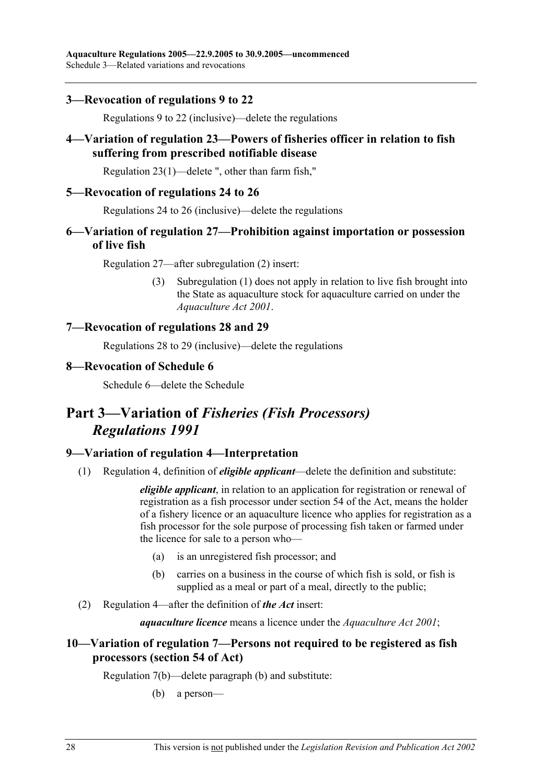## **3—Revocation of regulations 9 to 22**

Regulations 9 to 22 (inclusive)—delete the regulations

## **4—Variation of regulation 23—Powers of fisheries officer in relation to fish suffering from prescribed notifiable disease**

Regulation 23(1)—delete ", other than farm fish,"

#### **5—Revocation of regulations 24 to 26**

Regulations 24 to 26 (inclusive)—delete the regulations

## **6—Variation of regulation 27—Prohibition against importation or possession of live fish**

Regulation 27—after subregulation (2) insert:

 (3) Subregulation (1) does not apply in relation to live fish brought into the State as aquaculture stock for aquaculture carried on under the *Aquaculture Act 2001*.

## **7—Revocation of regulations 28 and 29**

Regulations 28 to 29 (inclusive)—delete the regulations

#### **8—Revocation of Schedule 6**

Schedule 6—delete the Schedule

# **Part 3—Variation of** *Fisheries (Fish Processors) Regulations 1991*

## **9—Variation of regulation 4—Interpretation**

(1) Regulation 4, definition of *eligible applicant*—delete the definition and substitute:

*eligible applicant*, in relation to an application for registration or renewal of registration as a fish processor under section 54 of the Act, means the holder of a fishery licence or an aquaculture licence who applies for registration as a fish processor for the sole purpose of processing fish taken or farmed under the licence for sale to a person who—

- (a) is an unregistered fish processor; and
- (b) carries on a business in the course of which fish is sold, or fish is supplied as a meal or part of a meal, directly to the public;
- (2) Regulation 4—after the definition of *the Act* insert:

*aquaculture licence* means a licence under the *Aquaculture Act 2001*;

## **10—Variation of regulation 7—Persons not required to be registered as fish processors (section 54 of Act)**

Regulation 7(b)—delete paragraph (b) and substitute:

(b) a person—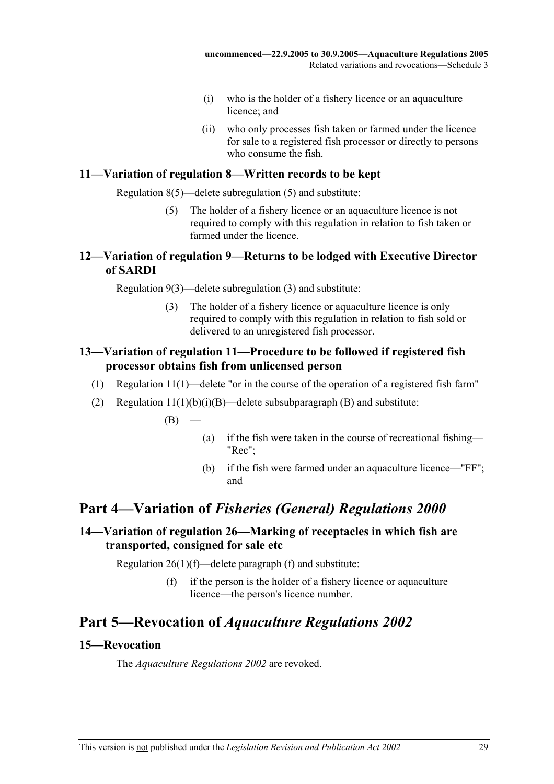- (i) who is the holder of a fishery licence or an aquaculture licence; and
- (ii) who only processes fish taken or farmed under the licence for sale to a registered fish processor or directly to persons who consume the fish.

#### **11—Variation of regulation 8—Written records to be kept**

Regulation 8(5)—delete subregulation (5) and substitute:

 (5) The holder of a fishery licence or an aquaculture licence is not required to comply with this regulation in relation to fish taken or farmed under the licence.

## **12—Variation of regulation 9—Returns to be lodged with Executive Director of SARDI**

Regulation 9(3)—delete subregulation (3) and substitute:

 (3) The holder of a fishery licence or aquaculture licence is only required to comply with this regulation in relation to fish sold or delivered to an unregistered fish processor.

## **13—Variation of regulation 11—Procedure to be followed if registered fish processor obtains fish from unlicensed person**

- (1) Regulation 11(1)—delete "or in the course of the operation of a registered fish farm"
- (2) Regulation  $11(1)(b)(i)(B)$ —delete subsubparagraph (B) and substitute:

 $(B)$  —

- (a) if the fish were taken in the course of recreational fishing— "Rec";
- (b) if the fish were farmed under an aquaculture licence—"FF"; and

## **Part 4—Variation of** *Fisheries (General) Regulations 2000*

## **14—Variation of regulation 26—Marking of receptacles in which fish are transported, consigned for sale etc**

Regulation  $26(1)(f)$ —delete paragraph (f) and substitute:

 (f) if the person is the holder of a fishery licence or aquaculture licence—the person's licence number.

## **Part 5—Revocation of** *Aquaculture Regulations 2002*

#### **15—Revocation**

The *Aquaculture Regulations 2002* are revoked.